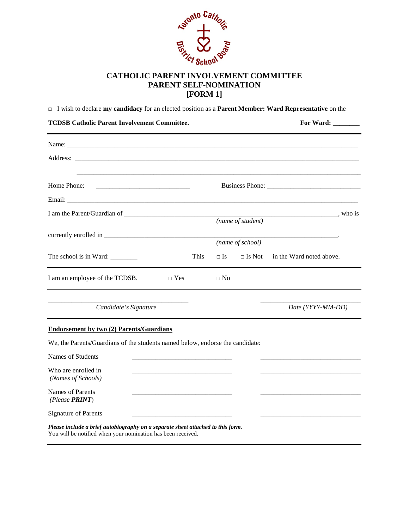

## **PARENT SELF-NOMINATION [FORM 1]**

□ I wish to declare **my candidacy** for an elected position as a **Parent Member: Ward Representative** on the

| <b>TCDSB Catholic Parent Involvement Committee.</b>                           |      | For Ward: $\_\_$ |                   |                                                                            |  |
|-------------------------------------------------------------------------------|------|------------------|-------------------|----------------------------------------------------------------------------|--|
|                                                                               |      |                  |                   |                                                                            |  |
|                                                                               |      |                  |                   |                                                                            |  |
| Home Phone:                                                                   |      |                  |                   | Business Phone:                                                            |  |
|                                                                               |      |                  |                   |                                                                            |  |
|                                                                               |      |                  | (name of student) | <u>_________________________</u> , who is                                  |  |
|                                                                               |      |                  | (name of school)  | the control of the control of the control of the control of the control of |  |
| The school is in Ward:                                                        | This | $\Box$ Is        | $\Box$ Is Not     | in the Ward noted above.                                                   |  |
| I am an employee of the TCDSB.<br>$\Box$ Yes                                  |      | $\Box$ No        |                   |                                                                            |  |
| Candidate's Signature                                                         |      |                  |                   | Date (YYYY-MM-DD)                                                          |  |
| <b>Endorsement by two (2) Parents/Guardians</b>                               |      |                  |                   |                                                                            |  |
| We, the Parents/Guardians of the students named below, endorse the candidate: |      |                  |                   |                                                                            |  |
| Names of Students                                                             |      |                  |                   |                                                                            |  |
| Who are enrolled in<br>(Names of Schools)                                     |      |                  |                   |                                                                            |  |
| <b>Names of Parents</b><br>(Please PRINT)                                     |      |                  |                   |                                                                            |  |
| <b>Signature of Parents</b>                                                   |      |                  |                   |                                                                            |  |

*Please include a brief autobiography on a separate sheet attached to this form.* You will be notified when your nomination has been received.